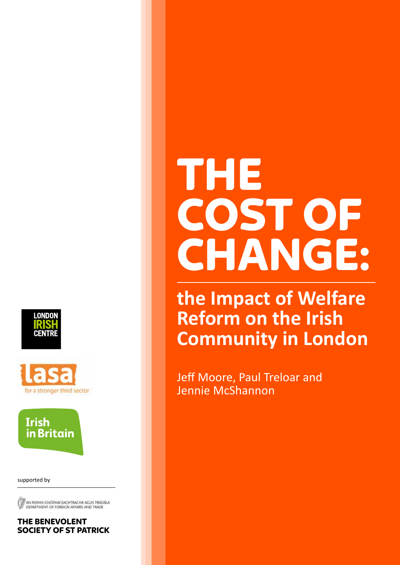





supported by

.<br>AN ROINN GNÓTHAÍ EACHTRACHA AGUS TRÁDÁLA<br>DEPARTMENT OF FOREIGN AFFAIRS AND TRADE

**THE Benevolent Society of St Patrick**

# **The Cost of Change:**

**the Impact of Welfare Reform on the Irish Community in London**

Jeff Moore, Paul Treloar and Jennie McShannon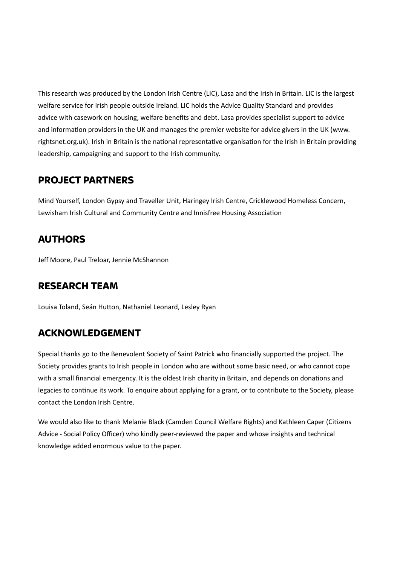This research was produced by the London Irish Centre (LIC), Lasa and the Irish in Britain. LIC is the largest welfare service for Irish people outside Ireland. LIC holds the Advice Quality Standard and provides advice with casework on housing, welfare benefits and debt. Lasa provides specialist support to advice and information providers in the UK and manages the premier website for advice givers in the UK (www. rightsnet.org.uk). Irish in Britain is the national representative organisation for the Irish in Britain providing leadership, campaigning and support to the Irish community.

## **Project Partners**

Mind Yourself, London Gypsy and Traveller Unit, Haringey Irish Centre, Cricklewood Homeless Concern, Lewisham Irish Cultural and Community Centre and Innisfree Housing Association

## **Authors**

Jeff Moore, Paul Treloar, Jennie McShannon

## **Research Team**

Louisa Toland, Seán Hutton, Nathaniel Leonard, Lesley Ryan

## **Acknowledgement**

Special thanks go to the Benevolent Society of Saint Patrick who financially supported the project. The Society provides grants to Irish people in London who are without some basic need, or who cannot cope with a small financial emergency. It is the oldest Irish charity in Britain, and depends on donations and legacies to continue its work. To enquire about applying for a grant, or to contribute to the Society, please contact the London Irish Centre.

We would also like to thank Melanie Black (Camden Council Welfare Rights) and Kathleen Caper (Citizens Advice - Social Policy Officer) who kindly peer-reviewed the paper and whose insights and technical knowledge added enormous value to the paper.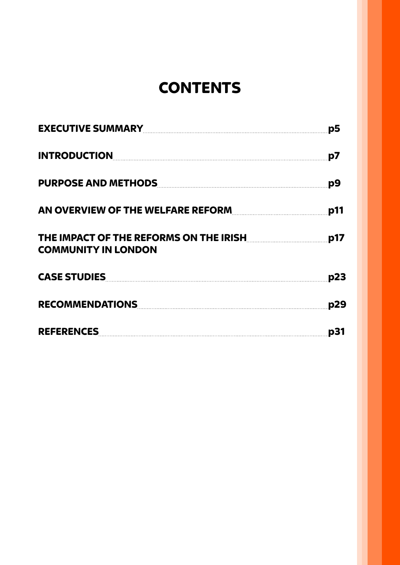# **Contents**

| EXECUTIVE SUMMARY EXECUTIVE SUMMARY                                                                                                                                                                                                 | .p5  |
|-------------------------------------------------------------------------------------------------------------------------------------------------------------------------------------------------------------------------------------|------|
| INTRODUCTION                                                                                                                                                                                                                        | .p7  |
|                                                                                                                                                                                                                                     | .p9  |
| AN OVERVIEW OF THE WELFARE REFORM.                                                                                                                                                                                                  | .p11 |
| THE IMPACT OF THE REFORMS ON THE IRISH<br><b>COMMUNITY IN LONDON</b>                                                                                                                                                                | p17  |
| CASE STUDIES                                                                                                                                                                                                                        | p23  |
| RECOMMENDATIONS <b>Example 20</b> No. 2014 12:37 No. 21 No. 21 No. 21 No. 21 No. 21 No. 21 No. 21 No. 21 No. 21 No. 21 No. 21 No. 21 No. 21 No. 21 No. 21 No. 21 No. 21 No. 21 No. 21 No. 21 No. 21 No. 21 No. 21 No. 21 No. 21 No. | p29  |
| REFERENCES                                                                                                                                                                                                                          | p31  |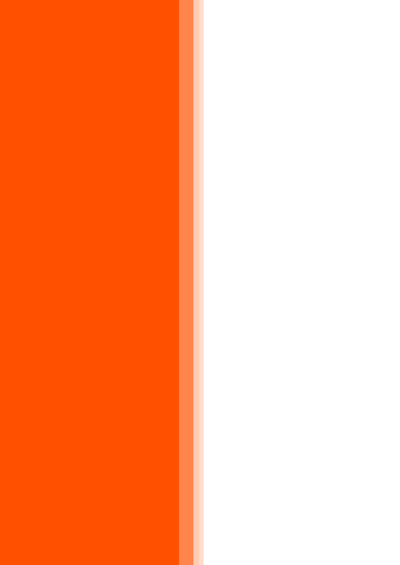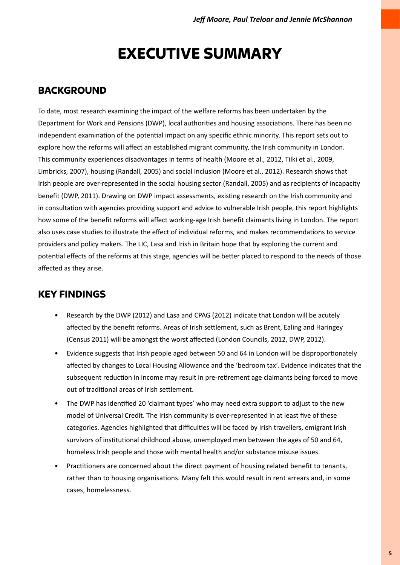# **Executive Summary**

#### **Background**

To date, most research examining the impact of the welfare reforms has been undertaken by the Department for Work and Pensions (DWP), local authorities and housing associations. There has been no independent examination of the potential impact on any specific ethnic minority. This report sets out to explore how the reforms will affect an established migrant community, the Irish community in London. This community experiences disadvantages in terms of health (Moore et al., 2012, Tilki et al., 2009, Limbricks, 2007), housing (Randall, 2005) and social inclusion (Moore et al., 2012). Research shows that Irish people are over-represented in the social housing sector (Randall, 2005) and as recipients of incapacity benefit (DWP, 2011). Drawing on DWP impact assessments, existing research on the Irish community and in consultation with agencies providing support and advice to vulnerable Irish people, this report highlights how some of the benefit reforms will affect working-age Irish benefit claimants living in London. The report also uses case studies to illustrate the effect of individual reforms, and makes recommendations to service providers and policy makers. The LIC, Lasa and Irish in Britain hope that by exploring the current and potential effects of the reforms at this stage, agencies will be better placed to respond to the needs of those affected as they arise.

#### **Key Findings**

- Research by the DWP (2012) and Lasa and CPAG (2012) indicate that London will be acutely affected by the benefit reforms. Areas of Irish settlement, such as Brent, Ealing and Haringey (Census 2011) will be amongst the worst affected (London Councils, 2012, DWP, 2012).
- Evidence suggests that Irish people aged between 50 and 64 in London will be disproportionately affected by changes to Local Housing Allowance and the 'bedroom tax'. Evidence indicates that the subsequent reduction in income may result in pre-retirement age claimants being forced to move out of traditional areas of Irish settlement.
- The DWP has identified 20 'claimant types' who may need extra support to adjust to the new model of Universal Credit. The Irish community is over-represented in at least five of these categories. Agencies highlighted that difficulties will be faced by Irish travellers, emigrant Irish survivors of institutional childhood abuse, unemployed men between the ages of 50 and 64, homeless Irish people and those with mental health and/or substance misuse issues.
- Practitioners are concerned about the direct payment of housing related benefit to tenants, rather than to housing organisations. Many felt this would result in rent arrears and, in some cases, homelessness.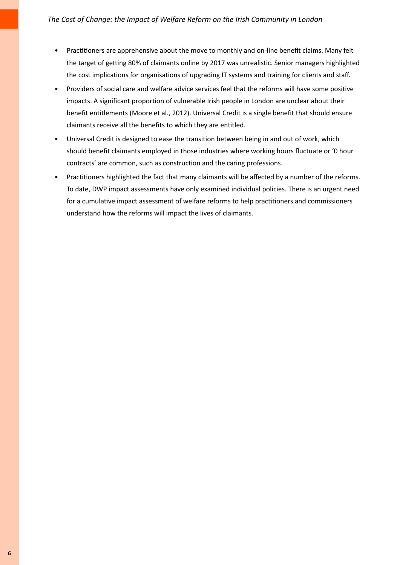#### *The Cost of Change: the Impact of Welfare Reform on the Irish Community in London*

- Practitioners are apprehensive about the move to monthly and on-line benefit claims. Many felt the target of getting 80% of claimants online by 2017 was unrealistic. Senior managers highlighted the cost implications for organisations of upgrading IT systems and training for clients and staff.
- Providers of social care and welfare advice services feel that the reforms will have some positive impacts. A significant proportion of vulnerable Irish people in London are unclear about their benefit entitlements (Moore et al., 2012). Universal Credit is a single benefit that should ensure claimants receive all the benefits to which they are entitled.
- Universal Credit is designed to ease the transition between being in and out of work, which should benefit claimants employed in those industries where working hours fluctuate or '0 hour contracts' are common, such as construction and the caring professions.
- Practitioners highlighted the fact that many claimants will be affected by a number of the reforms. To date, DWP impact assessments have only examined individual policies. There is an urgent need for a cumulative impact assessment of welfare reforms to help practitioners and commissioners understand how the reforms will impact the lives of claimants.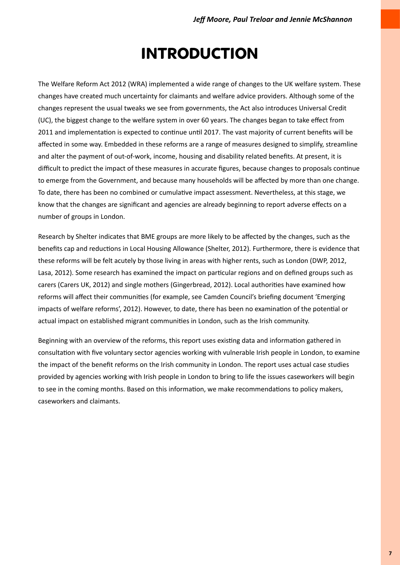## **Introduction**

The Welfare Reform Act 2012 (WRA) implemented a wide range of changes to the UK welfare system. These changes have created much uncertainty for claimants and welfare advice providers. Although some of the changes represent the usual tweaks we see from governments, the Act also introduces Universal Credit (UC), the biggest change to the welfare system in over 60 years. The changes began to take effect from 2011 and implementation is expected to continue until 2017. The vast majority of current benefits will be affected in some way. Embedded in these reforms are a range of measures designed to simplify, streamline and alter the payment of out-of-work, income, housing and disability related benefits. At present, it is difficult to predict the impact of these measures in accurate figures, because changes to proposals continue to emerge from the Government, and because many households will be affected by more than one change. To date, there has been no combined or cumulative impact assessment. Nevertheless, at this stage, we know that the changes are significant and agencies are already beginning to report adverse effects on a number of groups in London.

Research by Shelter indicates that BME groups are more likely to be affected by the changes, such as the benefits cap and reductions in Local Housing Allowance (Shelter, 2012). Furthermore, there is evidence that these reforms will be felt acutely by those living in areas with higher rents, such as London (DWP, 2012, Lasa, 2012). Some research has examined the impact on particular regions and on defined groups such as carers (Carers UK, 2012) and single mothers (Gingerbread, 2012). Local authorities have examined how reforms will affect their communities (for example, see Camden Council's briefing document 'Emerging impacts of welfare reforms', 2012). However, to date, there has been no examination of the potential or actual impact on established migrant communities in London, such as the Irish community.

Beginning with an overview of the reforms, this report uses existing data and information gathered in consultation with five voluntary sector agencies working with vulnerable Irish people in London, to examine the impact of the benefit reforms on the Irish community in London. The report uses actual case studies provided by agencies working with Irish people in London to bring to life the issues caseworkers will begin to see in the coming months. Based on this information, we make recommendations to policy makers, caseworkers and claimants.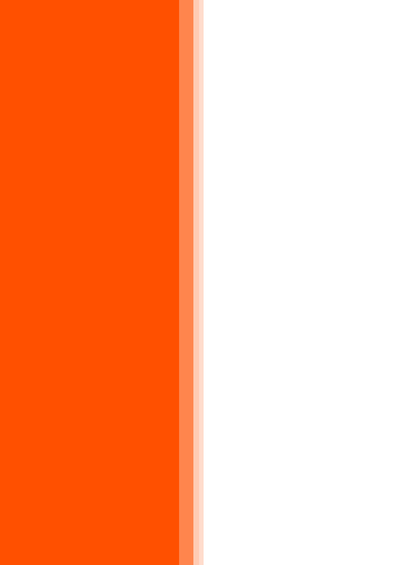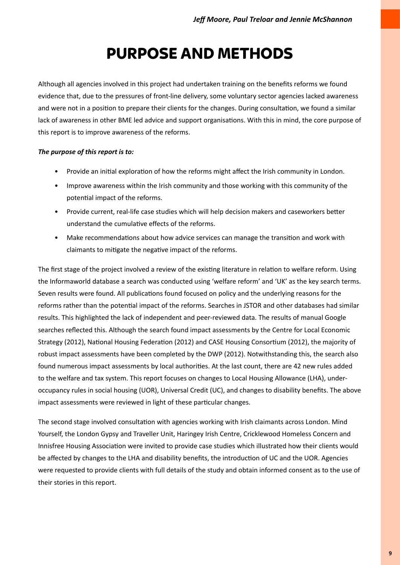## **Purpose and Methods**

Although all agencies involved in this project had undertaken training on the benefits reforms we found evidence that, due to the pressures of front-line delivery, some voluntary sector agencies lacked awareness and were not in a position to prepare their clients for the changes. During consultation, we found a similar lack of awareness in other BME led advice and support organisations. With this in mind, the core purpose of this report is to improve awareness of the reforms.

#### *The purpose of this report is to:*

- Provide an initial exploration of how the reforms might affect the Irish community in London.
- Improve awareness within the Irish community and those working with this community of the potential impact of the reforms.
- Provide current, real-life case studies which will help decision makers and caseworkers better understand the cumulative effects of the reforms.
- Make recommendations about how advice services can manage the transition and work with claimants to mitigate the negative impact of the reforms.

The first stage of the project involved a review of the existing literature in relation to welfare reform. Using the Informaworld database a search was conducted using 'welfare reform' and 'UK' as the key search terms. Seven results were found. All publications found focused on policy and the underlying reasons for the reforms rather than the potential impact of the reforms. Searches in JSTOR and other databases had similar results. This highlighted the lack of independent and peer-reviewed data. The results of manual Google searches reflected this. Although the search found impact assessments by the Centre for Local Economic Strategy (2012), National Housing Federation (2012) and CASE Housing Consortium (2012), the majority of robust impact assessments have been completed by the DWP (2012). Notwithstanding this, the search also found numerous impact assessments by local authorities. At the last count, there are 42 new rules added to the welfare and tax system. This report focuses on changes to Local Housing Allowance (LHA), underoccupancy rules in social housing (UOR), Universal Credit (UC), and changes to disability benefits. The above impact assessments were reviewed in light of these particular changes.

The second stage involved consultation with agencies working with Irish claimants across London. Mind Yourself, the London Gypsy and Traveller Unit, Haringey Irish Centre, Cricklewood Homeless Concern and Innisfree Housing Association were invited to provide case studies which illustrated how their clients would be affected by changes to the LHA and disability benefits, the introduction of UC and the UOR. Agencies were requested to provide clients with full details of the study and obtain informed consent as to the use of their stories in this report.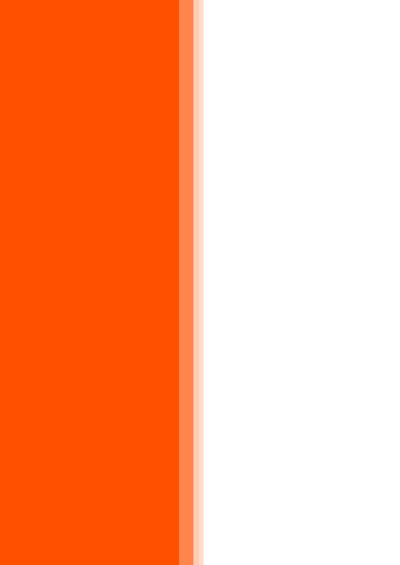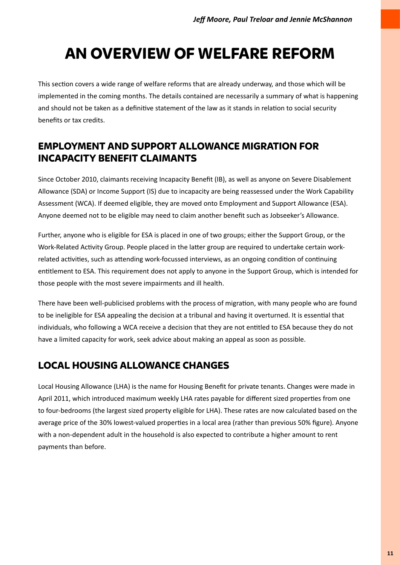# **An Overview of Welfare Reform**

This section covers a wide range of welfare reforms that are already underway, and those which will be implemented in the coming months. The details contained are necessarily a summary of what is happening and should not be taken as a definitive statement of the law as it stands in relation to social security benefits or tax credits.

## **Employment and Support Allowance Migration for Incapacity Benefit Claimants**

Since October 2010, claimants receiving Incapacity Benefit (IB), as well as anyone on Severe Disablement Allowance (SDA) or Income Support (IS) due to incapacity are being reassessed under the Work Capability Assessment (WCA). If deemed eligible, they are moved onto Employment and Support Allowance (ESA). Anyone deemed not to be eligible may need to claim another benefit such as Jobseeker's Allowance.

Further, anyone who is eligible for ESA is placed in one of two groups; either the Support Group, or the Work-Related Activity Group. People placed in the latter group are required to undertake certain workrelated activities, such as attending work-focussed interviews, as an ongoing condition of continuing entitlement to ESA. This requirement does not apply to anyone in the Support Group, which is intended for those people with the most severe impairments and ill health.

There have been well-publicised problems with the process of migration, with many people who are found to be ineligible for ESA appealing the decision at a tribunal and having it overturned. It is essential that individuals, who following a WCA receive a decision that they are not entitled to ESA because they do not have a limited capacity for work, seek advice about making an appeal as soon as possible.

## **Local Housing Allowance Changes**

Local Housing Allowance (LHA) is the name for Housing Benefit for private tenants. Changes were made in April 2011, which introduced maximum weekly LHA rates payable for different sized properties from one to four-bedrooms (the largest sized property eligible for LHA). These rates are now calculated based on the average price of the 30% lowest-valued properties in a local area (rather than previous 50% figure). Anyone with a non-dependent adult in the household is also expected to contribute a higher amount to rent payments than before.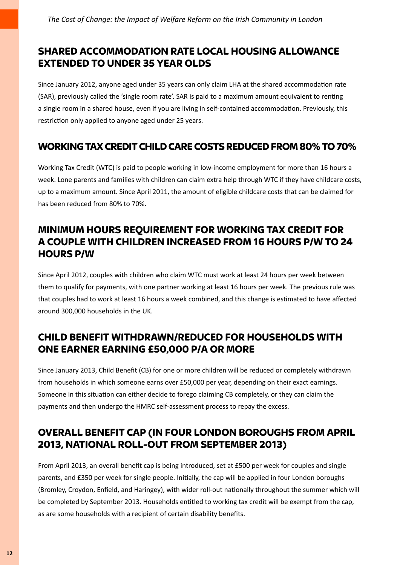#### **Shared Accommodation Rate Local Housing Allowance Extended to Under 35 year olds**

Since January 2012, anyone aged under 35 years can only claim LHA at the shared accommodation rate (SAR), previously called the 'single room rate'. SAR is paid to a maximum amount equivalent to renting a single room in a shared house, even if you are living in self-contained accommodation. Previously, this restriction only applied to anyone aged under 25 years.

#### **Working Tax Credit Child Care Costs Reduced From 80% to 70%**

Working Tax Credit (WTC) is paid to people working in low-income employment for more than 16 hours a week. Lone parents and families with children can claim extra help through WTC if they have childcare costs, up to a maximum amount. Since April 2011, the amount of eligible childcare costs that can be claimed for has been reduced from 80% to 70%.

#### **Minimum Hours Requirement for Working Tax Credit for a Couple With Children Increased From 16 Hours p/w to 24 Hours p/w**

Since April 2012, couples with children who claim WTC must work at least 24 hours per week between them to qualify for payments, with one partner working at least 16 hours per week. The previous rule was that couples had to work at least 16 hours a week combined, and this change is estimated to have affected around 300,000 households in the UK.

## **Child Benefit Withdrawn/Reduced for Households With one Earner Earning £50,000 p/a or More**

Since January 2013, Child Benefit (CB) for one or more children will be reduced or completely withdrawn from households in which someone earns over £50,000 per year, depending on their exact earnings. Someone in this situation can either decide to forego claiming CB completely, or they can claim the payments and then undergo the HMRC self-assessment process to repay the excess.

## **Overall Benefit Cap (in Four London Boroughs From April 2013, National Roll-Out From September 2013)**

From April 2013, an overall benefit cap is being introduced, set at £500 per week for couples and single parents, and £350 per week for single people. Initially, the cap will be applied in four London boroughs (Bromley, Croydon, Enfield, and Haringey), with wider roll-out nationally throughout the summer which will be completed by September 2013. Households entitled to working tax credit will be exempt from the cap, as are some households with a recipient of certain disability benefits.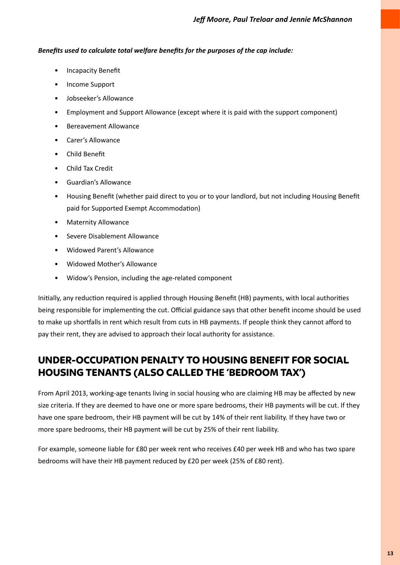#### *Benefits used to calculate total welfare benefits for the purposes of the cap include:*

- Incapacity Benefit
- Income Support
- Jobseeker's Allowance
- Employment and Support Allowance (except where it is paid with the support component)
- Bereavement Allowance
- Carer's Allowance
- Child Benefit
- Child Tax Credit
- Guardian's Allowance
- Housing Benefit (whether paid direct to you or to your landlord, but not including Housing Benefit paid for Supported Exempt Accommodation)
- Maternity Allowance
- Severe Disablement Allowance
- Widowed Parent's Allowance
- Widowed Mother's Allowance
- Widow's Pension, including the age-related component

Initially, any reduction required is applied through Housing Benefit (HB) payments, with local authorities being responsible for implementing the cut. Official guidance says that other benefit income should be used to make up shortfalls in rent which result from cuts in HB payments. If people think they cannot afford to pay their rent, they are advised to approach their local authority for assistance.

#### **Under-Occupation Penalty to Housing Benefit for Social Housing Tenants (Also Called the 'Bedroom Tax')**

From April 2013, working-age tenants living in social housing who are claiming HB may be affected by new size criteria. If they are deemed to have one or more spare bedrooms, their HB payments will be cut. If they have one spare bedroom, their HB payment will be cut by 14% of their rent liability. If they have two or more spare bedrooms, their HB payment will be cut by 25% of their rent liability.

For example, someone liable for £80 per week rent who receives £40 per week HB and who has two spare bedrooms will have their HB payment reduced by £20 per week (25% of £80 rent).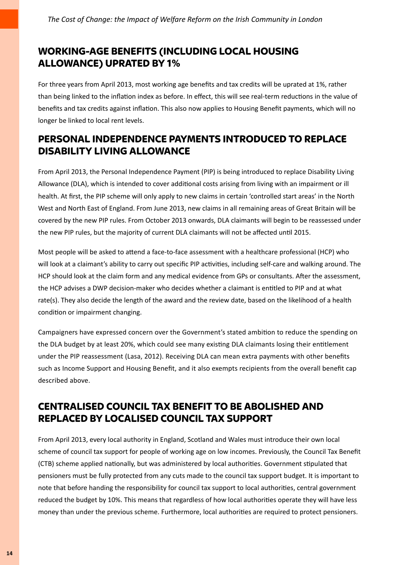#### **Working-Age Benefits (Including Local Housing Allowance) Uprated by 1%**

For three years from April 2013, most working age benefits and tax credits will be uprated at 1%, rather than being linked to the inflation index as before. In effect, this will see real-term reductions in the value of benefits and tax credits against inflation. This also now applies to Housing Benefit payments, which will no longer be linked to local rent levels.

#### **Personal Independence Payments Introduced to Replace Disability Living Allowance**

From April 2013, the Personal Independence Payment (PIP) is being introduced to replace Disability Living Allowance (DLA), which is intended to cover additional costs arising from living with an impairment or ill health. At first, the PIP scheme will only apply to new claims in certain 'controlled start areas' in the North West and North East of England. From June 2013, new claims in all remaining areas of Great Britain will be covered by the new PIP rules. From October 2013 onwards, DLA claimants will begin to be reassessed under the new PIP rules, but the majority of current DLA claimants will not be affected until 2015.

Most people will be asked to attend a face-to-face assessment with a healthcare professional (HCP) who will look at a claimant's ability to carry out specific PIP activities, including self-care and walking around. The HCP should look at the claim form and any medical evidence from GPs or consultants. After the assessment, the HCP advises a DWP decision-maker who decides whether a claimant is entitled to PIP and at what rate(s). They also decide the length of the award and the review date, based on the likelihood of a health condition or impairment changing.

Campaigners have expressed concern over the Government's stated ambition to reduce the spending on the DLA budget by at least 20%, which could see many existing DLA claimants losing their entitlement under the PIP reassessment (Lasa, 2012). Receiving DLA can mean extra payments with other benefits such as Income Support and Housing Benefit, and it also exempts recipients from the overall benefit cap described above.

#### **Centralised Council Tax Benefit to be Abolished and Replaced by Localised Council Tax Support**

From April 2013, every local authority in England, Scotland and Wales must introduce their own local scheme of council tax support for people of working age on low incomes. Previously, the Council Tax Benefit (CTB) scheme applied nationally, but was administered by local authorities. Government stipulated that pensioners must be fully protected from any cuts made to the council tax support budget. It is important to note that before handing the responsibility for council tax support to local authorities, central government reduced the budget by 10%. This means that regardless of how local authorities operate they will have less money than under the previous scheme. Furthermore, local authorities are required to protect pensioners.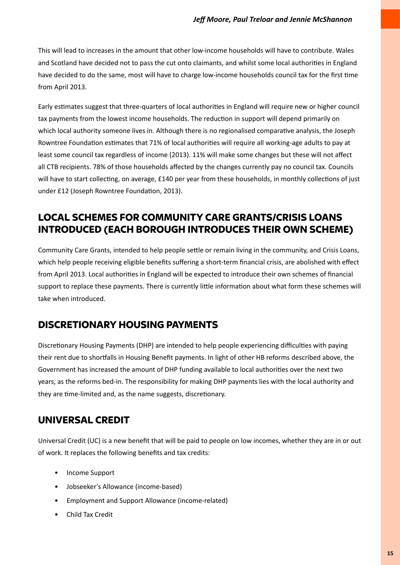This will lead to increases in the amount that other low-income households will have to contribute. Wales and Scotland have decided not to pass the cut onto claimants, and whilst some local authorities in England have decided to do the same, most will have to charge low-income households council tax for the first time from April 2013.

Early estimates suggest that three-quarters of local authorities in England will require new or higher council tax payments from the lowest income households. The reduction in support will depend primarily on which local authority someone lives in. Although there is no regionalised comparative analysis, the Joseph Rowntree Foundation estimates that 71% of local authorities will require all working-age adults to pay at least some council tax regardless of income (2013). 11% will make some changes but these will not affect all CTB recipients. 78% of those households affected by the changes currently pay no council tax. Councils will have to start collecting, on average, £140 per year from these households, in monthly collections of just under £12 (Joseph Rowntree Foundation, 2013).

#### **Local Schemes for Community Care Grants/Crisis Loans Introduced (Each Borough Introduces Their own Scheme)**

Community Care Grants, intended to help people settle or remain living in the community, and Crisis Loans, which help people receiving eligible benefits suffering a short-term financial crisis, are abolished with effect from April 2013. Local authorities in England will be expected to introduce their own schemes of financial support to replace these payments. There is currently little information about what form these schemes will take when introduced.

#### **Discretionary Housing Payments**

Discretionary Housing Payments (DHP) are intended to help people experiencing difficulties with paying their rent due to shortfalls in Housing Benefit payments. In light of other HB reforms described above, the Government has increased the amount of DHP funding available to local authorities over the next two years, as the reforms bed-in. The responsibility for making DHP payments lies with the local authority and they are time-limited and, as the name suggests, discretionary.

## **Universal Credit**

Universal Credit (UC) is a new benefit that will be paid to people on low incomes, whether they are in or out of work. It replaces the following benefits and tax credits:

- Income Support
- Jobseeker's Allowance (income-based)
- Employment and Support Allowance (income-related)
- Child Tax Credit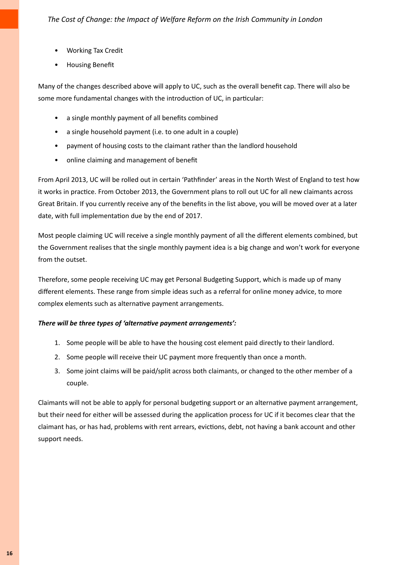- Working Tax Credit
- Housing Benefit

Many of the changes described above will apply to UC, such as the overall benefit cap. There will also be some more fundamental changes with the introduction of UC, in particular:

- a single monthly payment of all benefits combined
- a single household payment (i.e. to one adult in a couple)
- payment of housing costs to the claimant rather than the landlord household
- online claiming and management of benefit

From April 2013, UC will be rolled out in certain 'Pathfinder' areas in the North West of England to test how it works in practice. From October 2013, the Government plans to roll out UC for all new claimants across Great Britain. If you currently receive any of the benefits in the list above, you will be moved over at a later date, with full implementation due by the end of 2017.

Most people claiming UC will receive a single monthly payment of all the different elements combined, but the Government realises that the single monthly payment idea is a big change and won't work for everyone from the outset.

Therefore, some people receiving UC may get Personal Budgeting Support, which is made up of many different elements. These range from simple ideas such as a referral for online money advice, to more complex elements such as alternative payment arrangements.

#### *There will be three types of 'alternative payment arrangements':*

- 1. Some people will be able to have the housing cost element paid directly to their landlord.
- 2. Some people will receive their UC payment more frequently than once a month.
- 3. Some joint claims will be paid/split across both claimants, or changed to the other member of a couple.

Claimants will not be able to apply for personal budgeting support or an alternative payment arrangement, but their need for either will be assessed during the application process for UC if it becomes clear that the claimant has, or has had, problems with rent arrears, evictions, debt, not having a bank account and other support needs.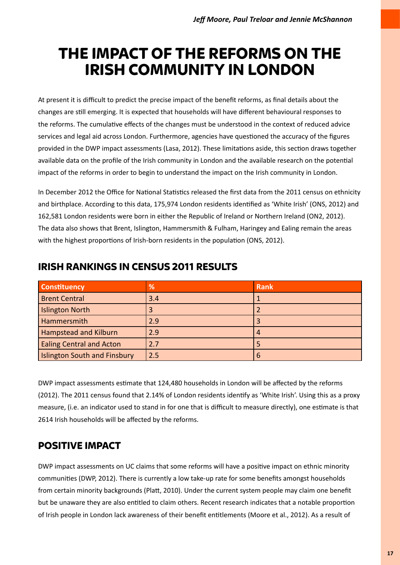## **The Impact of the Reforms on the Irish Community in London**

At present it is difficult to predict the precise impact of the benefit reforms, as final details about the changes are still emerging. It is expected that households will have different behavioural responses to the reforms. The cumulative effects of the changes must be understood in the context of reduced advice services and legal aid across London. Furthermore, agencies have questioned the accuracy of the figures provided in the DWP impact assessments (Lasa, 2012). These limitations aside, this section draws together available data on the profile of the Irish community in London and the available research on the potential impact of the reforms in order to begin to understand the impact on the Irish community in London.

In December 2012 the Office for National Statistics released the first data from the 2011 census on ethnicity and birthplace. According to this data, 175,974 London residents identified as 'White Irish' (ONS, 2012) and 162,581 London residents were born in either the Republic of Ireland or Northern Ireland (ON2, 2012). The data also shows that Brent, Islington, Hammersmith & Fulham, Haringey and Ealing remain the areas with the highest proportions of Irish-born residents in the population (ONS, 2012).

| <b>Constituency</b>                 | %   | <b>Rank</b> |
|-------------------------------------|-----|-------------|
| <b>Brent Central</b>                | 3.4 |             |
| <b>Islington North</b>              |     |             |
| Hammersmith                         | 2.9 |             |
| Hampstead and Kilburn               | 2.9 |             |
| <b>Ealing Central and Acton</b>     | 2.7 |             |
| <b>Islington South and Finsbury</b> | 2.5 | b           |

#### **Irish Rankings in Census 2011 Results**

DWP impact assessments estimate that 124,480 households in London will be affected by the reforms (2012). The 2011 census found that 2.14% of London residents identify as 'White Irish'. Using this as a proxy measure, (i.e. an indicator used to stand in for one that is difficult to measure directly), one estimate is that 2614 Irish households will be affected by the reforms.

## **Positive Impact**

DWP impact assessments on UC claims that some reforms will have a positive impact on ethnic minority communities (DWP, 2012). There is currently a low take-up rate for some benefits amongst households from certain minority backgrounds (Platt, 2010). Under the current system people may claim one benefit but be unaware they are also entitled to claim others. Recent research indicates that a notable proportion of Irish people in London lack awareness of their benefit entitlements (Moore et al., 2012). As a result of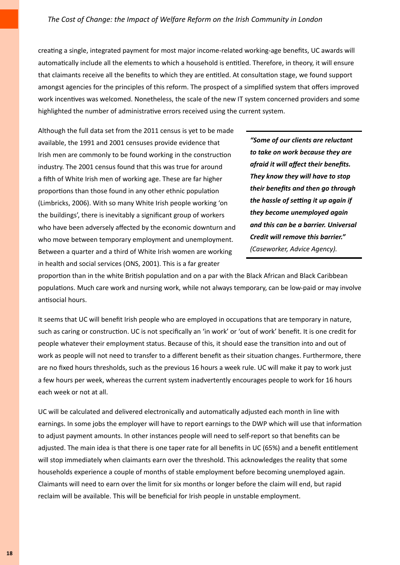#### *The Cost of Change: the Impact of Welfare Reform on the Irish Community in London*

creating a single, integrated payment for most major income-related working-age benefits, UC awards will automatically include all the elements to which a household is entitled. Therefore, in theory, it will ensure that claimants receive all the benefits to which they are entitled. At consultation stage, we found support amongst agencies for the principles of this reform. The prospect of a simplified system that offers improved work incentives was welcomed. Nonetheless, the scale of the new IT system concerned providers and some highlighted the number of administrative errors received using the current system.

Although the full data set from the 2011 census is yet to be made available, the 1991 and 2001 censuses provide evidence that Irish men are commonly to be found working in the construction industry. The 2001 census found that this was true for around a fifth of White Irish men of working age. These are far higher proportions than those found in any other ethnic population (Limbricks, 2006). With so many White Irish people working 'on the buildings', there is inevitably a significant group of workers who have been adversely affected by the economic downturn and who move between temporary employment and unemployment. Between a quarter and a third of White Irish women are working in health and social services (ONS, 2001). This is a far greater

*"Some of our clients are reluctant to take on work because they are afraid it will affect their benefits. They know they will have to stop their benefits and then go through the hassle of setting it up again if they become unemployed again and this can be a barrier. Universal Credit will remove this barrier." (Caseworker, Advice Agency).*

proportion than in the white British population and on a par with the Black African and Black Caribbean populations. Much care work and nursing work, while not always temporary, can be low-paid or may involve antisocial hours.

It seems that UC will benefit Irish people who are employed in occupations that are temporary in nature, such as caring or construction. UC is not specifically an 'in work' or 'out of work' benefit. It is one credit for people whatever their employment status. Because of this, it should ease the transition into and out of work as people will not need to transfer to a different benefit as their situation changes. Furthermore, there are no fixed hours thresholds, such as the previous 16 hours a week rule. UC will make it pay to work just a few hours per week, whereas the current system inadvertently encourages people to work for 16 hours each week or not at all.

UC will be calculated and delivered electronically and automatically adjusted each month in line with earnings. In some jobs the employer will have to report earnings to the DWP which will use that information to adjust payment amounts. In other instances people will need to self-report so that benefits can be adjusted. The main idea is that there is one taper rate for all benefits in UC (65%) and a benefit entitlement will stop immediately when claimants earn over the threshold. This acknowledges the reality that some households experience a couple of months of stable employment before becoming unemployed again. Claimants will need to earn over the limit for six months or longer before the claim will end, but rapid reclaim will be available. This will be beneficial for Irish people in unstable employment.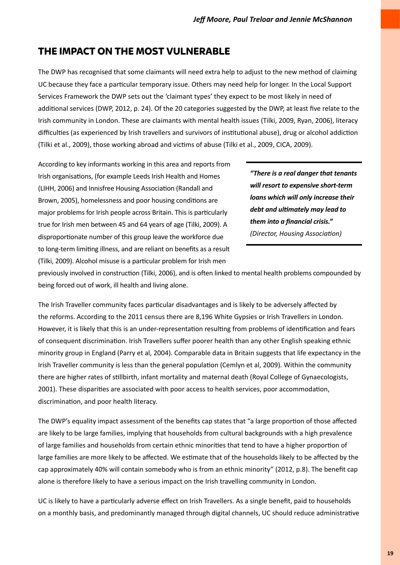#### **The Impact on the Most Vulnerable**

The DWP has recognised that some claimants will need extra help to adjust to the new method of claiming UC because they face a particular temporary issue. Others may need help for longer. In the Local Support Services Framework the DWP sets out the 'claimant types' they expect to be most likely in need of additional services (DWP, 2012, p. 24). Of the 20 categories suggested by the DWP, at least five relate to the Irish community in London. These are claimants with mental health issues (Tilki, 2009, Ryan, 2006), literacy difficulties (as experienced by Irish travellers and survivors of institutional abuse), drug or alcohol addiction (Tilki et al., 2009), those working abroad and victims of abuse (Tilki et al., 2009, CICA, 2009).

According to key informants working in this area and reports from Irish organisations, (for example Leeds Irish Health and Homes (LIHH, 2006) and Innisfree Housing Association (Randall and Brown, 2005), homelessness and poor housing conditions are major problems for Irish people across Britain. This is particularly true for Irish men between 45 and 64 years of age (Tilki, 2009). A disproportionate number of this group leave the workforce due to long-term limiting illness, and are reliant on benefits as a result (Tilki, 2009). Alcohol misuse is a particular problem for Irish men

*"There is a real danger that tenants will resort to expensive short-term loans which will only increase their debt and ultimately may lead to them into a financial crisis." (Director, Housing Association)*

previously involved in construction (Tilki, 2006), and is often linked to mental health problems compounded by being forced out of work, ill health and living alone.

The Irish Traveller community faces particular disadvantages and is likely to be adversely affected by the reforms. According to the 2011 census there are 8,196 White Gypsies or Irish Travellers in London. However, it is likely that this is an under-representation resulting from problems of identification and fears of consequent discrimination. Irish Travellers suffer poorer health than any other English speaking ethnic minority group in England (Parry et al, 2004). Comparable data in Britain suggests that life expectancy in the Irish Traveller community is less than the general population (Cemlyn et al, 2009). Within the community there are higher rates of stillbirth, infant mortality and maternal death (Royal College of Gynaecologists, 2001). These disparities are associated with poor access to health services, poor accommodation, discrimination, and poor health literacy.

The DWP's equality impact assessment of the benefits cap states that "a large proportion of those affected are likely to be large families, implying that households from cultural backgrounds with a high prevalence of large families and households from certain ethnic minorities that tend to have a higher proportion of large families are more likely to be affected. We estimate that of the households likely to be affected by the cap approximately 40% will contain somebody who is from an ethnic minority" (2012, p.8). The benefit cap alone is therefore likely to have a serious impact on the Irish travelling community in London.

UC is likely to have a particularly adverse effect on Irish Travellers. As a single benefit, paid to households on a monthly basis, and predominantly managed through digital channels, UC should reduce administrative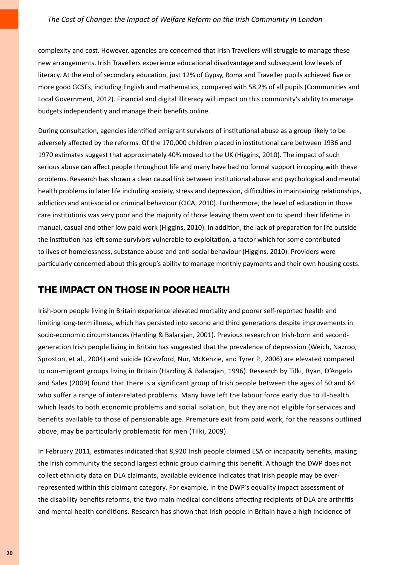#### *The Cost of Change: the Impact of Welfare Reform on the Irish Community in London*

complexity and cost. However, agencies are concerned that Irish Travellers will struggle to manage these new arrangements. Irish Travellers experience educational disadvantage and subsequent low levels of literacy. At the end of secondary education, just 12% of Gypsy, Roma and Traveller pupils achieved five or more good GCSEs, including English and mathematics, compared with 58.2% of all pupils (Communities and Local Government, 2012). Financial and digital illiteracy will impact on this community's ability to manage budgets independently and manage their benefits online.

During consultation, agencies identified emigrant survivors of institutional abuse as a group likely to be adversely affected by the reforms. Of the 170,000 children placed in institutional care between 1936 and 1970 estimates suggest that approximately 40% moved to the UK (Higgins, 2010). The impact of such serious abuse can affect people throughout life and many have had no formal support in coping with these problems. Research has shown a clear causal link between institutional abuse and psychological and mental health problems in later life including anxiety, stress and depression, difficulties in maintaining relationships, addiction and anti-social or criminal behaviour (CICA, 2010). Furthermore, the level of education in those care institutions was very poor and the majority of those leaving them went on to spend their lifetime in manual, casual and other low paid work (Higgins, 2010). In addition, the lack of preparation for life outside the institution has left some survivors vulnerable to exploitation, a factor which for some contributed to lives of homelessness, substance abuse and anti-social behaviour (Higgins, 2010). Providers were particularly concerned about this group's ability to manage monthly payments and their own housing costs.

#### **The Impact on Those in Poor Health**

Irish-born people living in Britain experience elevated mortality and poorer self-reported health and limiting long-term illness, which has persisted into second and third generations despite improvements in socio-economic circumstances (Harding & Balarajan, 2001). Previous research on Irish-born and secondgeneration Irish people living in Britain has suggested that the prevalence of depression (Weich, Nazroo, Sproston, et al., 2004) and suicide (Crawford, Nur, McKenzie, and Tyrer P., 2006) are elevated compared to non-migrant groups living in Britain (Harding & Balarajan, 1996). Research by Tilki, Ryan, D'Angelo and Sales (2009) found that there is a significant group of Irish people between the ages of 50 and 64 who suffer a range of inter-related problems. Many have left the labour force early due to ill-health which leads to both economic problems and social isolation, but they are not eligible for services and benefits available to those of pensionable age. Premature exit from paid work, for the reasons outlined above, may be particularly problematic for men (Tilki, 2009).

In February 2011, estimates indicated that 8,920 Irish people claimed ESA or incapacity benefits, making the Irish community the second largest ethnic group claiming this benefit. Although the DWP does not collect ethnicity data on DLA claimants, available evidence indicates that Irish people may be overrepresented within this claimant category. For example, in the DWP's equality impact assessment of the disability benefits reforms, the two main medical conditions affecting recipients of DLA are arthritis and mental health conditions. Research has shown that Irish people in Britain have a high incidence of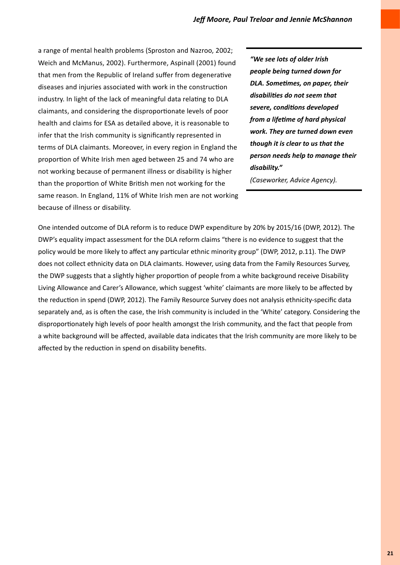a range of mental health problems (Sproston and Nazroo, 2002; Weich and McManus, 2002). Furthermore, Aspinall (2001) found that men from the Republic of Ireland suffer from degenerative diseases and injuries associated with work in the construction industry. In light of the lack of meaningful data relating to DLA claimants, and considering the disproportionate levels of poor health and claims for ESA as detailed above, it is reasonable to infer that the Irish community is significantly represented in terms of DLA claimants. Moreover, in every region in England the proportion of White Irish men aged between 25 and 74 who are not working because of permanent illness or disability is higher than the proportion of White British men not working for the same reason. In England, 11% of White Irish men are not working because of illness or disability.

*"We see lots of older Irish people being turned down for DLA. Sometimes, on paper, their disabilities do not seem that severe, conditions developed from a lifetime of hard physical work. They are turned down even though it is clear to us that the person needs help to manage their disability." (Caseworker, Advice Agency).*

One intended outcome of DLA reform is to reduce DWP expenditure by 20% by 2015/16 (DWP, 2012). The DWP's equality impact assessment for the DLA reform claims "there is no evidence to suggest that the policy would be more likely to affect any particular ethnic minority group" (DWP, 2012, p.11). The DWP does not collect ethnicity data on DLA claimants. However, using data from the Family Resources Survey, the DWP suggests that a slightly higher proportion of people from a white background receive Disability Living Allowance and Carer's Allowance, which suggest 'white' claimants are more likely to be affected by the reduction in spend (DWP, 2012). The Family Resource Survey does not analysis ethnicity-specific data separately and, as is often the case, the Irish community is included in the 'White' category. Considering the disproportionately high levels of poor health amongst the Irish community, and the fact that people from a white background will be affected, available data indicates that the Irish community are more likely to be affected by the reduction in spend on disability benefits.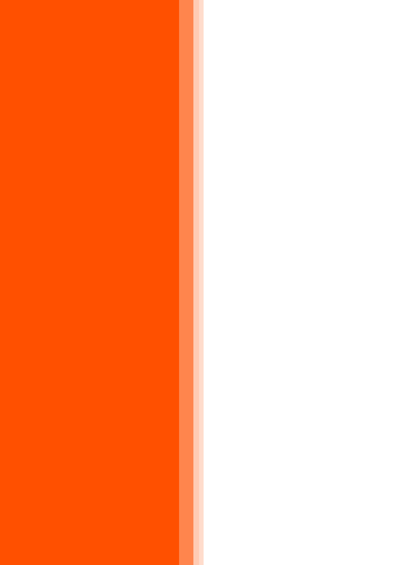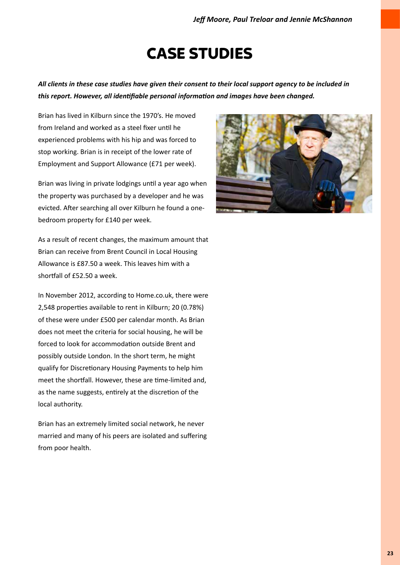# **Case Studies**

*All clients in these case studies have given their consent to their local support agency to be included in this report. However, all identifiable personal information and images have been changed.* 

Brian has lived in Kilburn since the 1970's. He moved from Ireland and worked as a steel fixer until he experienced problems with his hip and was forced to stop working. Brian is in receipt of the lower rate of Employment and Support Allowance (£71 per week).

Brian was living in private lodgings until a year ago when the property was purchased by a developer and he was evicted. After searching all over Kilburn he found a onebedroom property for £140 per week.

As a result of recent changes, the maximum amount that Brian can receive from Brent Council in Local Housing Allowance is £87.50 a week. This leaves him with a shortfall of £52.50 a week.

In November 2012, according to Home.co.uk, there were 2,548 properties available to rent in Kilburn; 20 (0.78%) of these were under £500 per calendar month. As Brian does not meet the criteria for social housing, he will be forced to look for accommodation outside Brent and possibly outside London. In the short term, he might qualify for Discretionary Housing Payments to help him meet the shortfall. However, these are time-limited and, as the name suggests, entirely at the discretion of the local authority.

Brian has an extremely limited social network, he never married and many of his peers are isolated and suffering from poor health.

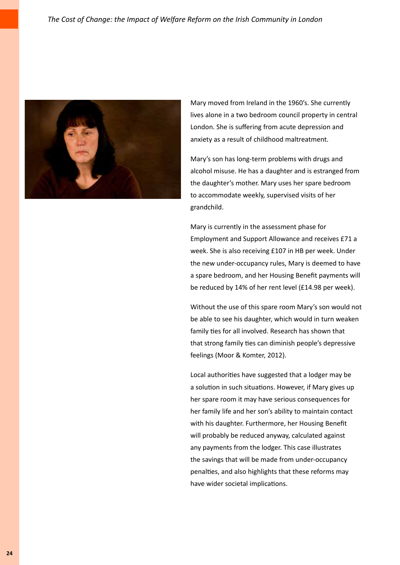

Mary moved from Ireland in the 1960's. She currently lives alone in a two bedroom council property in central London. She is suffering from acute depression and anxiety as a result of childhood maltreatment.

Mary's son has long-term problems with drugs and alcohol misuse. He has a daughter and is estranged from the daughter's mother. Mary uses her spare bedroom to accommodate weekly, supervised visits of her grandchild.

Mary is currently in the assessment phase for Employment and Support Allowance and receives £71 a week. She is also receiving £107 in HB per week. Under the new under-occupancy rules, Mary is deemed to have a spare bedroom, and her Housing Benefit payments will be reduced by 14% of her rent level (£14.98 per week).

Without the use of this spare room Mary's son would not be able to see his daughter, which would in turn weaken family ties for all involved. Research has shown that that strong family ties can diminish people's depressive feelings (Moor & Komter, 2012).

Local authorities have suggested that a lodger may be a solution in such situations. However, if Mary gives up her spare room it may have serious consequences for her family life and her son's ability to maintain contact with his daughter. Furthermore, her Housing Benefit will probably be reduced anyway, calculated against any payments from the lodger. This case illustrates the savings that will be made from under-occupancy penalties, and also highlights that these reforms may have wider societal implications.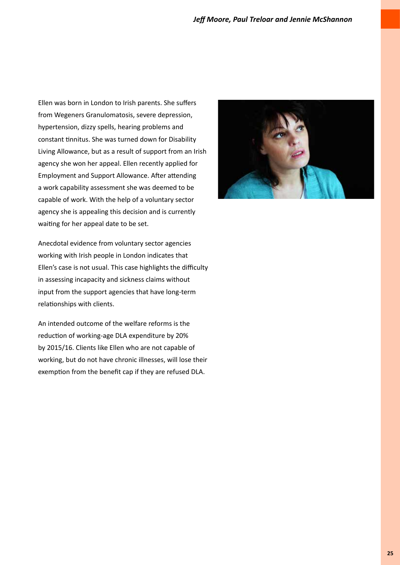Ellen was born in London to Irish parents. She suffers from Wegeners Granulomatosis, severe depression, hypertension, dizzy spells, hearing problems and constant tinnitus. She was turned down for Disability Living Allowance, but as a result of support from an Irish agency she won her appeal. Ellen recently applied for Employment and Support Allowance. After attending a work capability assessment she was deemed to be capable of work. With the help of a voluntary sector agency she is appealing this decision and is currently waiting for her appeal date to be set.

Anecdotal evidence from voluntary sector agencies working with Irish people in London indicates that Ellen's case is not usual. This case highlights the difficulty in assessing incapacity and sickness claims without input from the support agencies that have long-term relationships with clients.

An intended outcome of the welfare reforms is the reduction of working-age DLA expenditure by 20% by 2015/16. Clients like Ellen who are not capable of working, but do not have chronic illnesses, will lose their exemption from the benefit cap if they are refused DLA.

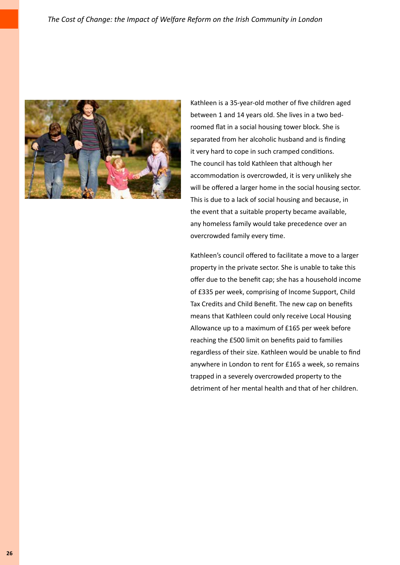

Kathleen is a 35-year-old mother of five children aged between 1 and 14 years old. She lives in a two bedroomed flat in a social housing tower block. She is separated from her alcoholic husband and is finding it very hard to cope in such cramped conditions. The council has told Kathleen that although her accommodation is overcrowded, it is very unlikely she will be offered a larger home in the social housing sector. This is due to a lack of social housing and because, in the event that a suitable property became available, any homeless family would take precedence over an overcrowded family every time.

Kathleen's council offered to facilitate a move to a larger property in the private sector. She is unable to take this offer due to the benefit cap; she has a household income of £335 per week, comprising of Income Support, Child Tax Credits and Child Benefit. The new cap on benefits means that Kathleen could only receive Local Housing Allowance up to a maximum of £165 per week before reaching the £500 limit on benefits paid to families regardless of their size. Kathleen would be unable to find anywhere in London to rent for £165 a week, so remains trapped in a severely overcrowded property to the detriment of her mental health and that of her children.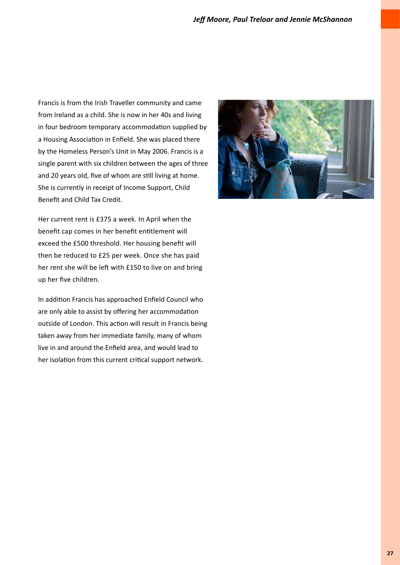Francis is from the Irish Traveller community and came from Ireland as a child. She is now in her 40s and living in four bedroom temporary accommodation supplied by a Housing Association in Enfield. She was placed there by the Homeless Person's Unit in May 2006. Francis is a single parent with six children between the ages of three and 20 years old, five of whom are still living at home. She is currently in receipt of Income Support, Child Benefit and Child Tax Credit.

Her current rent is £375 a week. In April when the benefit cap comes in her benefit entitlement will exceed the £500 threshold. Her housing benefit will then be reduced to £25 per week. Once she has paid her rent she will be left with £150 to live on and bring up her five children.

In addition Francis has approached Enfield Council who are only able to assist by offering her accommodation outside of London. This action will result in Francis being taken away from her immediate family, many of whom live in and around the Enfield area, and would lead to her isolation from this current critical support network.

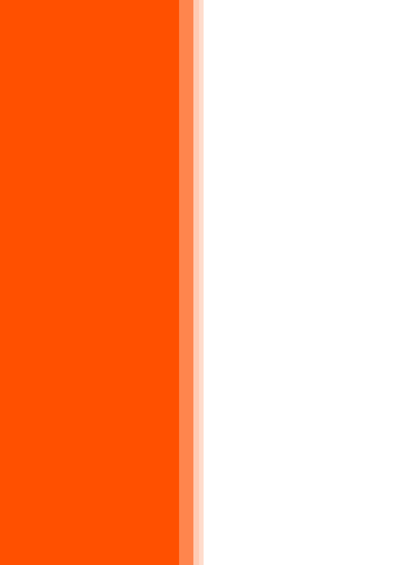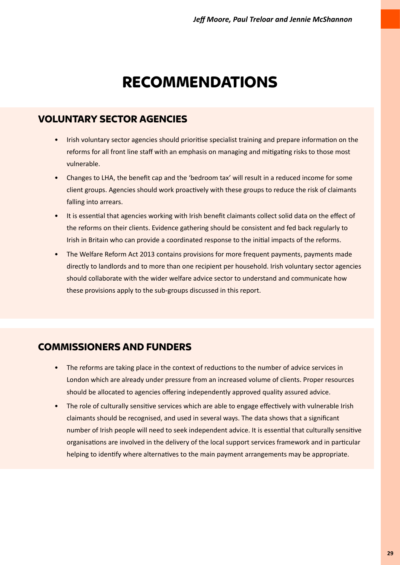# **Recommendations**

#### **Voluntary Sector Agencies**

- Irish voluntary sector agencies should prioritise specialist training and prepare information on the reforms for all front line staff with an emphasis on managing and mitigating risks to those most vulnerable.
- Changes to LHA, the benefit cap and the 'bedroom tax' will result in a reduced income for some client groups. Agencies should work proactively with these groups to reduce the risk of claimants falling into arrears.
- It is essential that agencies working with Irish benefit claimants collect solid data on the effect of the reforms on their clients. Evidence gathering should be consistent and fed back regularly to Irish in Britain who can provide a coordinated response to the initial impacts of the reforms.
- The Welfare Reform Act 2013 contains provisions for more frequent payments, payments made directly to landlords and to more than one recipient per household. Irish voluntary sector agencies should collaborate with the wider welfare advice sector to understand and communicate how these provisions apply to the sub-groups discussed in this report.

#### **Commissioners and Funders**

- The reforms are taking place in the context of reductions to the number of advice services in London which are already under pressure from an increased volume of clients. Proper resources should be allocated to agencies offering independently approved quality assured advice.
- The role of culturally sensitive services which are able to engage effectively with vulnerable Irish claimants should be recognised, and used in several ways. The data shows that a significant number of Irish people will need to seek independent advice. It is essential that culturally sensitive organisations are involved in the delivery of the local support services framework and in particular helping to identify where alternatives to the main payment arrangements may be appropriate.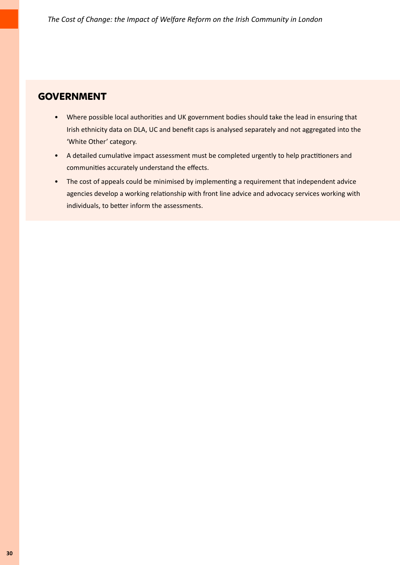#### **Government**

- Where possible local authorities and UK government bodies should take the lead in ensuring that Irish ethnicity data on DLA, UC and benefit caps is analysed separately and not aggregated into the 'White Other' category.
- A detailed cumulative impact assessment must be completed urgently to help practitioners and communities accurately understand the effects.
- The cost of appeals could be minimised by implementing a requirement that independent advice agencies develop a working relationship with front line advice and advocacy services working with individuals, to better inform the assessments.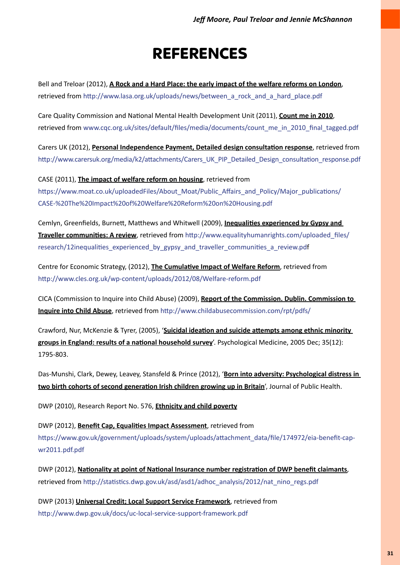## **References**

Bell and Treloar (2012), **A Rock and a Hard Place: the early impact of the welfare reforms on London**, retrieved from http://www.lasa.org.uk/uploads/news/between\_a\_rock\_and\_a\_hard\_place.pdf

Care Quality Commission and National Mental Health Development Unit (2011), **Count me in 2010**, retrieved from www.cqc.org.uk/sites/default/files/media/documents/count\_me\_in\_2010\_final\_tagged.pdf

Carers UK (2012), **Personal Independence Payment, Detailed design consultation response**, retrieved from http://www.carersuk.org/media/k2/attachments/Carers\_UK\_PIP\_Detailed\_Design\_consultation\_response.pdf

CASE (2011), **The impact of welfare reform on housing**, retrieved from https://www.moat.co.uk/uploadedFiles/About\_Moat/Public\_Affairs\_and\_Policy/Major\_publications/ CASE-%20The%20Impact%20of%20Welfare%20Reform%20on%20Housing.pdf

Cemlyn, Greenfields, Burnett, Matthews and Whitwell (2009), **Inequalities experienced by Gypsy and Traveller communities: A review**, retrieved from http://www.equalityhumanrights.com/uploaded\_files/ research/12inequalities\_experienced\_by\_gypsy\_and\_traveller\_communities\_a\_review.pdf

Centre for Economic Strategy, (2012), **The Cumulative Impact of Welfare Reform**, retrieved from http://www.cles.org.uk/wp-content/uploads/2012/08/Welfare-reform.pdf

CICA (Commission to Inquire into Child Abuse) (2009), **Report of the Commission. Dublin. Commission to Inquire into Child Abuse**, retrieved from http://www.childabusecommission.com/rpt/pdfs/

Crawford, Nur, McKenzie & Tyrer, (2005), '**Suicidal ideation and suicide attempts among ethnic minority groups in England: results of a national household survey**'. Psychological Medicine, 2005 Dec; 35(12): 1795-803.

Das-Munshi, Clark, Dewey, Leavey, Stansfeld & Prince (2012), '**Born into adversity: Psychological distress in two birth cohorts of second generation Irish children growing up in Britain**', Journal of Public Health.

DWP (2010), Research Report No. 576, **Ethnicity and child poverty**

DWP (2012), **Benefit Cap, Equalities Impact Assessment**, retrieved from https://www.gov.uk/government/uploads/system/uploads/attachment\_data/file/174972/eia-benefit-capwr2011.pdf.pdf

DWP (2012), **Nationality at point of National Insurance number registration of DWP benefit claimants**, retrieved from http://statistics.dwp.gov.uk/asd/asd1/adhoc\_analysis/2012/nat\_nino\_regs.pdf

DWP (2013) **Universal Credit; Local Support Service Framework**, retrieved from http://www.dwp.gov.uk/docs/uc-local-service-support-framework.pdf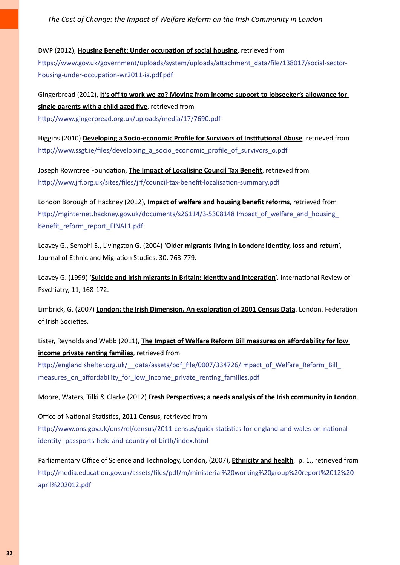*The Cost of Change: the Impact of Welfare Reform on the Irish Community in London*

DWP (2012), **Housing Benefit: Under occupation of social housing**, retrieved from https://www.gov.uk/government/uploads/system/uploads/attachment\_data/file/138017/social-sectorhousing-under-occupation-wr2011-ia.pdf.pdf

Gingerbread (2012), **It's off to work we go? Moving from income support to jobseeker's allowance for single parents with a child aged five**, retrieved from http://www.gingerbread.org.uk/uploads/media/17/7690.pdf

Higgins (2010) **Developing a Socio-economic Profile for Survivors of Institutional Abuse**, retrieved from http://www.ssgt.ie/files/developing\_a\_socio\_economic\_profile\_of\_survivors\_o.pdf

Joseph Rowntree Foundation, **The Impact of Localising Council Tax Benefit**, retrieved from http://www.jrf.org.uk/sites/files/jrf/council-tax-benefit-localisation-summary.pdf

London Borough of Hackney (2012), **Impact of welfare and housing benefit reforms**, retrieved from http://mginternet.hackney.gov.uk/documents/s26114/3-5308148 Impact\_of\_welfare\_and\_housing\_ benefit\_reform\_report\_FINAL1.pdf

Leavey G., Sembhi S., Livingston G. (2004) '**Older migrants living in London: Identity, loss and return**', Journal of Ethnic and Migration Studies, 30, 763-779.

Leavey G. (1999) '**Suicide and Irish migrants in Britain: identity and integration**'. International Review of Psychiatry, 11, 168-172.

Limbrick, G. (2007) **London: the Irish Dimension. An exploration of 2001 Census Data**. London. Federation of Irish Societies.

Lister, Reynolds and Webb (2011), **The Impact of Welfare Reform Bill measures on affordability for low income private renting families**, retrieved from http://england.shelter.org.uk/ data/assets/pdf file/0007/334726/Impact of Welfare Reform Bill measures\_on\_affordability\_for\_low\_income\_private\_renting\_families.pdf

Moore, Waters, Tilki & Clarke (2012) **Fresh Perspectives; a needs analysis of the Irish community in London**.

Office of National Statistics, **2011 Census**, retrieved from

http://www.ons.gov.uk/ons/rel/census/2011-census/quick-statistics-for-england-and-wales-on-nationalidentity--passports-held-and-country-of-birth/index.html

Parliamentary Office of Science and Technology, London, (2007), **Ethnicity and health**, p. 1., retrieved from http://media.education.gov.uk/assets/files/pdf/m/ministerial%20working%20group%20report%2012%20 april%202012.pdf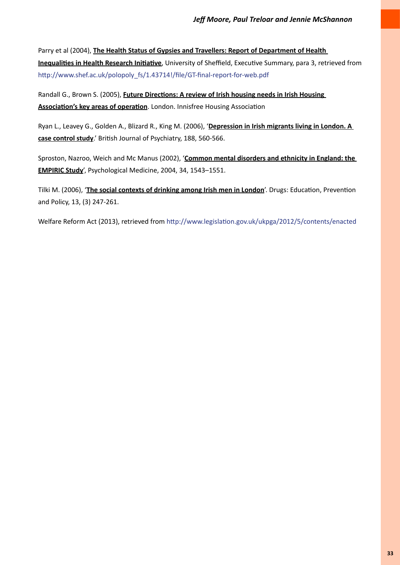Parry et al (2004), **The Health Status of Gypsies and Travellers: Report of Department of Health Inequalities in Health Research Initiative**, University of Sheffield, Executive Summary, para 3, retrieved from http://www.shef.ac.uk/polopoly\_fs/1.43714!/file/GT-final-report-for-web.pdf

Randall G., Brown S. (2005), **Future Directions: A review of Irish housing needs in Irish Housing Association's key areas of operation**. London. Innisfree Housing Association

Ryan L., Leavey G., Golden A., Blizard R., King M. (2006), '**Depression in Irish migrants living in London. A case control study**.' British Journal of Psychiatry, 188, 560-566.

Sproston, Nazroo, Weich and Mc Manus (2002), '**Common mental disorders and ethnicity in England: the EMPIRIC Study**', Psychological Medicine, 2004, 34, 1543–1551.

Tilki M. (2006), '**The social contexts of drinking among Irish men in London**'. Drugs: Education, Prevention and Policy, 13, (3) 247-261.

Welfare Reform Act (2013), retrieved from http://www.legislation.gov.uk/ukpga/2012/5/contents/enacted